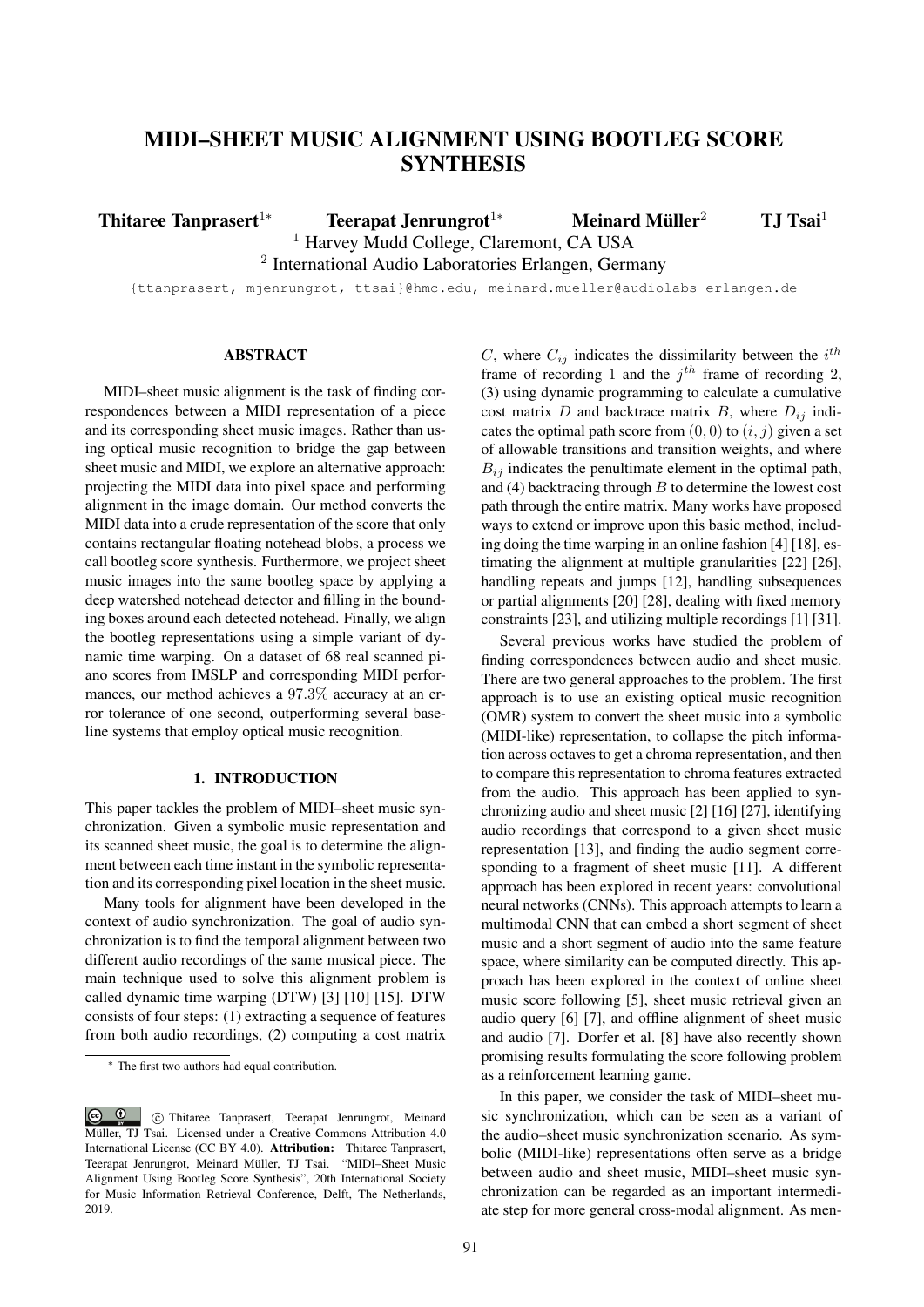# MIDI–SHEET MUSIC ALIGNMENT USING BOOTLEG SCORE **SYNTHESIS**

Thitaree Tanprasert<sup>1</sup>\* Teerapat Jenrungrot<sup>1\*</sup> Meinard Müller<sup>2</sup> TJ Tsai<sup>1</sup>

<sup>1</sup> Harvey Mudd College, Claremont, CA USA

<sup>2</sup> International Audio Laboratories Erlangen, Germany

{ttanprasert, mjenrungrot, ttsai}@hmc.edu, meinard.mueller@audiolabs-erlangen.de

# ABSTRACT

MIDI–sheet music alignment is the task of finding correspondences between a MIDI representation of a piece and its corresponding sheet music images. Rather than using optical music recognition to bridge the gap between sheet music and MIDI, we explore an alternative approach: projecting the MIDI data into pixel space and performing alignment in the image domain. Our method converts the MIDI data into a crude representation of the score that only contains rectangular floating notehead blobs, a process we call bootleg score synthesis. Furthermore, we project sheet music images into the same bootleg space by applying a deep watershed notehead detector and filling in the bounding boxes around each detected notehead. Finally, we align the bootleg representations using a simple variant of dynamic time warping. On a dataset of 68 real scanned piano scores from IMSLP and corresponding MIDI performances, our method achieves a 97.3% accuracy at an error tolerance of one second, outperforming several baseline systems that employ optical music recognition.

#### 1. INTRODUCTION

This paper tackles the problem of MIDI–sheet music synchronization. Given a symbolic music representation and its scanned sheet music, the goal is to determine the alignment between each time instant in the symbolic representation and its corresponding pixel location in the sheet music.

Many tools for alignment have been developed in the context of audio synchronization. The goal of audio synchronization is to find the temporal alignment between two different audio recordings of the same musical piece. The main technique used to solve this alignment problem is called dynamic time warping (DTW) [3] [10] [15]. DTW consists of four steps: (1) extracting a sequence of features from both audio recordings, (2) computing a cost matrix

C, where  $C_{ij}$  indicates the dissimilarity between the  $i^{th}$ frame of recording 1 and the  $j<sup>th</sup>$  frame of recording 2, (3) using dynamic programming to calculate a cumulative cost matrix  $D$  and backtrace matrix  $B$ , where  $D_{ij}$  indicates the optimal path score from  $(0, 0)$  to  $(i, j)$  given a set of allowable transitions and transition weights, and where  $B_{ij}$  indicates the penultimate element in the optimal path, and (4) backtracing through  $B$  to determine the lowest cost path through the entire matrix. Many works have proposed ways to extend or improve upon this basic method, including doing the time warping in an online fashion [4] [18], estimating the alignment at multiple granularities [22] [26], handling repeats and jumps [12], handling subsequences or partial alignments [20] [28], dealing with fixed memory constraints [23], and utilizing multiple recordings [1] [31].

Several previous works have studied the problem of finding correspondences between audio and sheet music. There are two general approaches to the problem. The first approach is to use an existing optical music recognition (OMR) system to convert the sheet music into a symbolic (MIDI-like) representation, to collapse the pitch information across octaves to get a chroma representation, and then to compare this representation to chroma features extracted from the audio. This approach has been applied to synchronizing audio and sheet music [2] [16] [27], identifying audio recordings that correspond to a given sheet music representation [13], and finding the audio segment corresponding to a fragment of sheet music [11]. A different approach has been explored in recent years: convolutional neural networks (CNNs). This approach attempts to learn a multimodal CNN that can embed a short segment of sheet music and a short segment of audio into the same feature space, where similarity can be computed directly. This approach has been explored in the context of online sheet music score following [5], sheet music retrieval given an audio query [6] [7], and offline alignment of sheet music and audio [7]. Dorfer et al. [8] have also recently shown promising results formulating the score following problem as a reinforcement learning game.

In this paper, we consider the task of MIDI–sheet music synchronization, which can be seen as a variant of the audio–sheet music synchronization scenario. As symbolic (MIDI-like) representations often serve as a bridge between audio and sheet music, MIDI–sheet music synchronization can be regarded as an important intermediate step for more general cross-modal alignment. As men-

<sup>∗</sup> The first two authors had equal contribution.

 $\odot$  c Thitaree Tanprasert, Teerapat Jenrungrot, Meinard Müller, TJ Tsai. Licensed under a Creative Commons Attribution 4.0 International License (CC BY 4.0). Attribution: Thitaree Tanprasert, Teerapat Jenrungrot, Meinard Müller, TJ Tsai. "MIDI–Sheet Music Alignment Using Bootleg Score Synthesis", 20th International Society for Music Information Retrieval Conference, Delft, The Netherlands, 2019.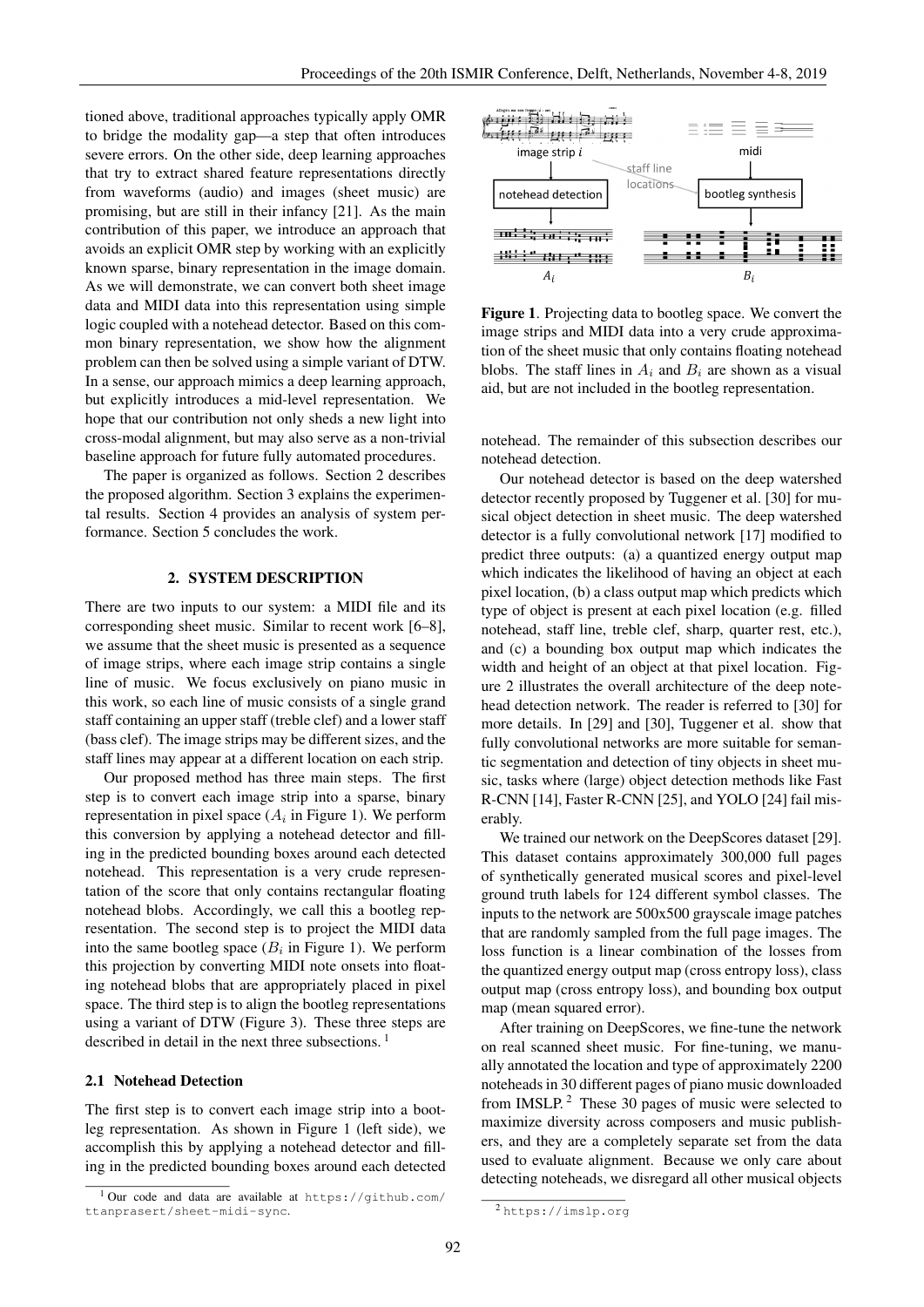tioned above, traditional approaches typically apply OMR to bridge the modality gap—a step that often introduces severe errors. On the other side, deep learning approaches that try to extract shared feature representations directly from waveforms (audio) and images (sheet music) are promising, but are still in their infancy [21]. As the main contribution of this paper, we introduce an approach that avoids an explicit OMR step by working with an explicitly known sparse, binary representation in the image domain. As we will demonstrate, we can convert both sheet image data and MIDI data into this representation using simple logic coupled with a notehead detector. Based on this common binary representation, we show how the alignment problem can then be solved using a simple variant of DTW. In a sense, our approach mimics a deep learning approach, but explicitly introduces a mid-level representation. We hope that our contribution not only sheds a new light into cross-modal alignment, but may also serve as a non-trivial baseline approach for future fully automated procedures.

The paper is organized as follows. Section 2 describes the proposed algorithm. Section 3 explains the experimental results. Section 4 provides an analysis of system performance. Section 5 concludes the work.

## 2. SYSTEM DESCRIPTION

There are two inputs to our system: a MIDI file and its corresponding sheet music. Similar to recent work [6–8], we assume that the sheet music is presented as a sequence of image strips, where each image strip contains a single line of music. We focus exclusively on piano music in this work, so each line of music consists of a single grand staff containing an upper staff (treble clef) and a lower staff (bass clef). The image strips may be different sizes, and the staff lines may appear at a different location on each strip.

Our proposed method has three main steps. The first step is to convert each image strip into a sparse, binary representation in pixel space  $(A_i$  in Figure 1). We perform this conversion by applying a notehead detector and filling in the predicted bounding boxes around each detected notehead. This representation is a very crude representation of the score that only contains rectangular floating notehead blobs. Accordingly, we call this a bootleg representation. The second step is to project the MIDI data into the same bootleg space  $(B_i$  in Figure 1). We perform this projection by converting MIDI note onsets into floating notehead blobs that are appropriately placed in pixel space. The third step is to align the bootleg representations using a variant of DTW (Figure 3). These three steps are described in detail in the next three subsections.<sup>1</sup>

# 2.1 Notehead Detection

The first step is to convert each image strip into a bootleg representation. As shown in Figure 1 (left side), we accomplish this by applying a notehead detector and filling in the predicted bounding boxes around each detected



Figure 1. Projecting data to bootleg space. We convert the image strips and MIDI data into a very crude approximation of the sheet music that only contains floating notehead blobs. The staff lines in  $A_i$  and  $B_i$  are shown as a visual aid, but are not included in the bootleg representation.

notehead. The remainder of this subsection describes our notehead detection.

Our notehead detector is based on the deep watershed detector recently proposed by Tuggener et al. [30] for musical object detection in sheet music. The deep watershed detector is a fully convolutional network [17] modified to predict three outputs: (a) a quantized energy output map which indicates the likelihood of having an object at each pixel location, (b) a class output map which predicts which type of object is present at each pixel location (e.g. filled notehead, staff line, treble clef, sharp, quarter rest, etc.), and (c) a bounding box output map which indicates the width and height of an object at that pixel location. Figure 2 illustrates the overall architecture of the deep notehead detection network. The reader is referred to [30] for more details. In [29] and [30], Tuggener et al. show that fully convolutional networks are more suitable for semantic segmentation and detection of tiny objects in sheet music, tasks where (large) object detection methods like Fast R-CNN [14], Faster R-CNN [25], and YOLO [24] fail miserably.

We trained our network on the DeepScores dataset [29]. This dataset contains approximately 300,000 full pages of synthetically generated musical scores and pixel-level ground truth labels for 124 different symbol classes. The inputs to the network are 500x500 grayscale image patches that are randomly sampled from the full page images. The loss function is a linear combination of the losses from the quantized energy output map (cross entropy loss), class output map (cross entropy loss), and bounding box output map (mean squared error).

After training on DeepScores, we fine-tune the network on real scanned sheet music. For fine-tuning, we manually annotated the location and type of approximately 2200 noteheads in 30 different pages of piano music downloaded from IMSLP. $^2$  These 30 pages of music were selected to maximize diversity across composers and music publishers, and they are a completely separate set from the data used to evaluate alignment. Because we only care about detecting noteheads, we disregard all other musical objects

<sup>&</sup>lt;sup>1</sup> Our code and data are available at https://github.com/ ttanprasert/sheet-midi-sync.

<sup>2</sup> https://imslp.org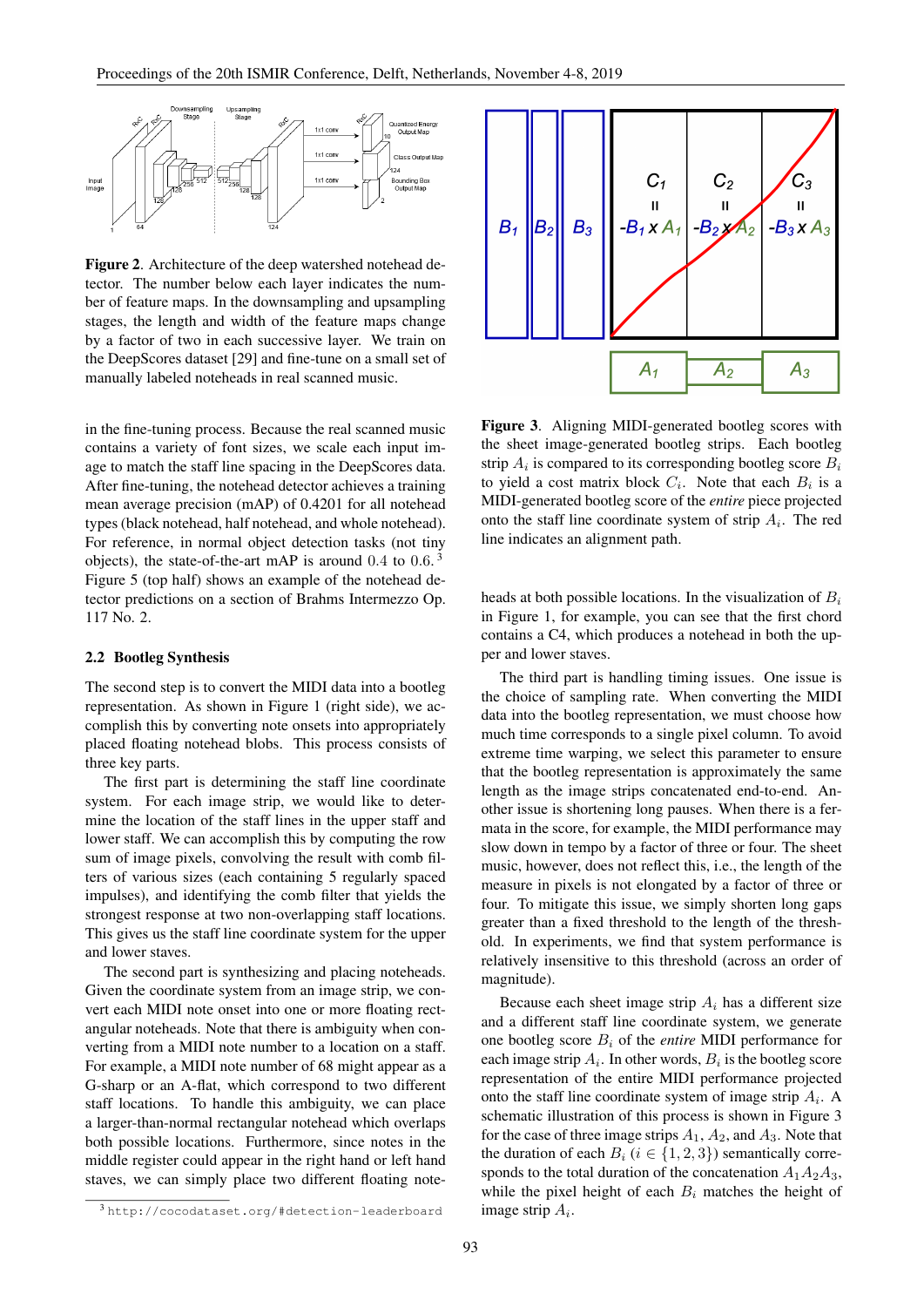

Figure 2. Architecture of the deep watershed notehead detector. The number below each layer indicates the number of feature maps. In the downsampling and upsampling stages, the length and width of the feature maps change by a factor of two in each successive layer. We train on the DeepScores dataset [29] and fine-tune on a small set of manually labeled noteheads in real scanned music.

in the fine-tuning process. Because the real scanned music contains a variety of font sizes, we scale each input image to match the staff line spacing in the DeepScores data. After fine-tuning, the notehead detector achieves a training mean average precision (mAP) of 0.4201 for all notehead types (black notehead, half notehead, and whole notehead). For reference, in normal object detection tasks (not tiny objects), the state-of-the-art mAP is around  $0.4$  to  $0.6$ .<sup>3</sup> Figure 5 (top half) shows an example of the notehead detector predictions on a section of Brahms Intermezzo Op. 117 No. 2.

## 2.2 Bootleg Synthesis

The second step is to convert the MIDI data into a bootleg representation. As shown in Figure 1 (right side), we accomplish this by converting note onsets into appropriately placed floating notehead blobs. This process consists of three key parts.

The first part is determining the staff line coordinate system. For each image strip, we would like to determine the location of the staff lines in the upper staff and lower staff. We can accomplish this by computing the row sum of image pixels, convolving the result with comb filters of various sizes (each containing 5 regularly spaced impulses), and identifying the comb filter that yields the strongest response at two non-overlapping staff locations. This gives us the staff line coordinate system for the upper and lower staves.

The second part is synthesizing and placing noteheads. Given the coordinate system from an image strip, we convert each MIDI note onset into one or more floating rectangular noteheads. Note that there is ambiguity when converting from a MIDI note number to a location on a staff. For example, a MIDI note number of 68 might appear as a G-sharp or an A-flat, which correspond to two different staff locations. To handle this ambiguity, we can place a larger-than-normal rectangular notehead which overlaps both possible locations. Furthermore, since notes in the middle register could appear in the right hand or left hand staves, we can simply place two different floating note-



Figure 3. Aligning MIDI-generated bootleg scores with the sheet image-generated bootleg strips. Each bootleg strip  $A_i$  is compared to its corresponding bootleg score  $B_i$ to yield a cost matrix block  $C_i$ . Note that each  $B_i$  is a MIDI-generated bootleg score of the *entire* piece projected onto the staff line coordinate system of strip  $A_i$ . The red line indicates an alignment path.

heads at both possible locations. In the visualization of  $B_i$ in Figure 1, for example, you can see that the first chord contains a C4, which produces a notehead in both the upper and lower staves.

The third part is handling timing issues. One issue is the choice of sampling rate. When converting the MIDI data into the bootleg representation, we must choose how much time corresponds to a single pixel column. To avoid extreme time warping, we select this parameter to ensure that the bootleg representation is approximately the same length as the image strips concatenated end-to-end. Another issue is shortening long pauses. When there is a fermata in the score, for example, the MIDI performance may slow down in tempo by a factor of three or four. The sheet music, however, does not reflect this, i.e., the length of the measure in pixels is not elongated by a factor of three or four. To mitigate this issue, we simply shorten long gaps greater than a fixed threshold to the length of the threshold. In experiments, we find that system performance is relatively insensitive to this threshold (across an order of magnitude).

Because each sheet image strip  $A_i$  has a different size and a different staff line coordinate system, we generate one bootleg score B<sup>i</sup> of the *entire* MIDI performance for each image strip  $A_i$ . In other words,  $B_i$  is the bootleg score representation of the entire MIDI performance projected onto the staff line coordinate system of image strip  $A_i$ . A schematic illustration of this process is shown in Figure 3 for the case of three image strips  $A_1$ ,  $A_2$ , and  $A_3$ . Note that the duration of each  $B_i$  ( $i \in \{1, 2, 3\}$ ) semantically corresponds to the total duration of the concatenation  $A_1A_2A_3$ , while the pixel height of each  $B_i$  matches the height of image strip  $A_i$ .

<sup>3</sup> http://cocodataset.org/#detection-leaderboard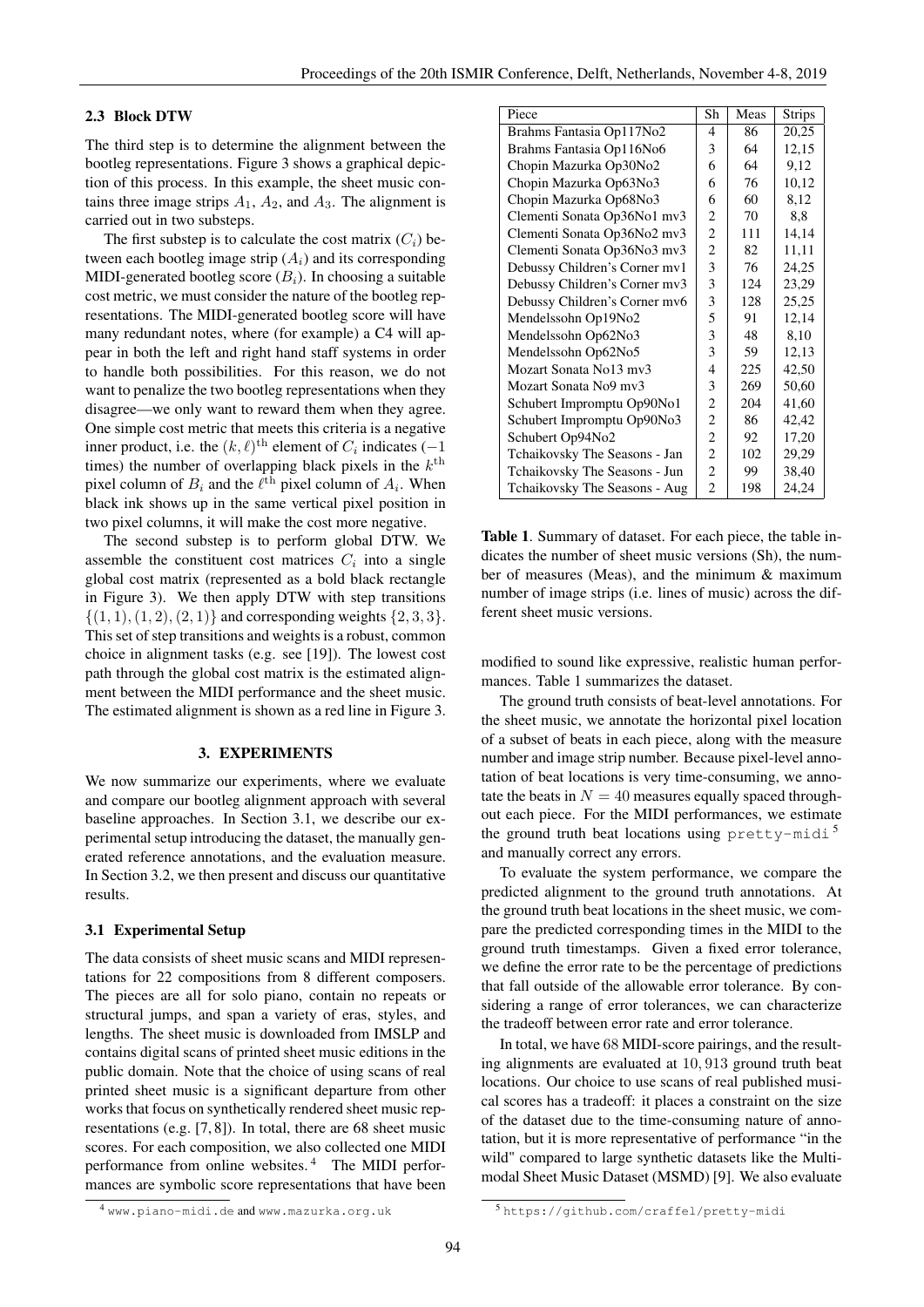# 2.3 Block DTW

The third step is to determine the alignment between the bootleg representations. Figure 3 shows a graphical depiction of this process. In this example, the sheet music contains three image strips  $A_1$ ,  $A_2$ , and  $A_3$ . The alignment is carried out in two substeps.

The first substep is to calculate the cost matrix  $(C_i)$  between each bootleg image strip  $(A_i)$  and its corresponding MIDI-generated bootleg score  $(B_i)$ . In choosing a suitable cost metric, we must consider the nature of the bootleg representations. The MIDI-generated bootleg score will have many redundant notes, where (for example) a C4 will appear in both the left and right hand staff systems in order to handle both possibilities. For this reason, we do not want to penalize the two bootleg representations when they disagree—we only want to reward them when they agree. One simple cost metric that meets this criteria is a negative inner product, i.e. the  $(k, \ell)$ <sup>th</sup> element of  $C_i$  indicates (-1) times) the number of overlapping black pixels in the  $k^{\text{th}}$ pixel column of  $B_i$  and the  $\ell^{\text{th}}$  pixel column of  $A_i$ . When black ink shows up in the same vertical pixel position in two pixel columns, it will make the cost more negative.

The second substep is to perform global DTW. We assemble the constituent cost matrices  $C_i$  into a single global cost matrix (represented as a bold black rectangle in Figure 3). We then apply DTW with step transitions  $\{(1, 1), (1, 2), (2, 1)\}\$  and corresponding weights  $\{2, 3, 3\}.$ This set of step transitions and weights is a robust, common choice in alignment tasks (e.g. see [19]). The lowest cost path through the global cost matrix is the estimated alignment between the MIDI performance and the sheet music. The estimated alignment is shown as a red line in Figure 3.

# 3. EXPERIMENTS

We now summarize our experiments, where we evaluate and compare our bootleg alignment approach with several baseline approaches. In Section 3.1, we describe our experimental setup introducing the dataset, the manually generated reference annotations, and the evaluation measure. In Section 3.2, we then present and discuss our quantitative results.

## 3.1 Experimental Setup

The data consists of sheet music scans and MIDI representations for 22 compositions from 8 different composers. The pieces are all for solo piano, contain no repeats or structural jumps, and span a variety of eras, styles, and lengths. The sheet music is downloaded from IMSLP and contains digital scans of printed sheet music editions in the public domain. Note that the choice of using scans of real printed sheet music is a significant departure from other works that focus on synthetically rendered sheet music representations (e.g. [7, 8]). In total, there are 68 sheet music scores. For each composition, we also collected one MIDI performance from online websites. <sup>4</sup> The MIDI performances are symbolic score representations that have been

| Piece                         | Sh | Meas | <b>Strips</b> |
|-------------------------------|----|------|---------------|
| Brahms Fantasia Op117No2      | 4  | 86   | 20,25         |
| Brahms Fantasia Op116No6      | 3  | 64   | 12,15         |
| Chopin Mazurka Op30No2        | 6  | 64   | 9,12          |
| Chopin Mazurka Op63No3        | 6  | 76   | 10,12         |
| Chopin Mazurka Op68No3        | 6  | 60   | 8,12          |
| Clementi Sonata Op36No1 mv3   | 2  | 70   | 8,8           |
| Clementi Sonata Op36No2 mv3   | 2  | 111  | 14,14         |
| Clementi Sonata Op36No3 mv3   | 2  | 82   | 11,11         |
| Debussy Children's Corner mv1 | 3  | 76   | 24,25         |
| Debussy Children's Corner mv3 | 3  | 124  | 23,29         |
| Debussy Children's Corner mv6 | 3  | 128  | 25,25         |
| Mendelssohn Op19No2           | 5  | 91   | 12,14         |
| Mendelssohn Op62No3           | 3  | 48   | 8,10          |
| Mendelssohn Op62No5           | 3  | 59   | 12,13         |
| Mozart Sonata No13 mv3        | 4  | 225  | 42,50         |
| Mozart Sonata No9 mv3         | 3  | 269  | 50,60         |
| Schubert Impromptu Op90No1    | 2  | 204  | 41,60         |
| Schubert Impromptu Op90No3    | 2  | 86   | 42,42         |
| Schubert Op94No2              | 2  | 92   | 17,20         |
| Tchaikovsky The Seasons - Jan | 2  | 102  | 29,29         |
| Tchaikovsky The Seasons - Jun | 2  | 99   | 38,40         |
| Tchaikovsky The Seasons - Aug | 2  | 198  | 24,24         |

Table 1. Summary of dataset. For each piece, the table indicates the number of sheet music versions (Sh), the number of measures (Meas), and the minimum & maximum number of image strips (i.e. lines of music) across the different sheet music versions.

modified to sound like expressive, realistic human performances. Table 1 summarizes the dataset.

The ground truth consists of beat-level annotations. For the sheet music, we annotate the horizontal pixel location of a subset of beats in each piece, along with the measure number and image strip number. Because pixel-level annotation of beat locations is very time-consuming, we annotate the beats in  $N = 40$  measures equally spaced throughout each piece. For the MIDI performances, we estimate the ground truth beat locations using  $pretry-\text{mid}^5$ and manually correct any errors.

To evaluate the system performance, we compare the predicted alignment to the ground truth annotations. At the ground truth beat locations in the sheet music, we compare the predicted corresponding times in the MIDI to the ground truth timestamps. Given a fixed error tolerance, we define the error rate to be the percentage of predictions that fall outside of the allowable error tolerance. By considering a range of error tolerances, we can characterize the tradeoff between error rate and error tolerance.

In total, we have 68 MIDI-score pairings, and the resulting alignments are evaluated at 10, 913 ground truth beat locations. Our choice to use scans of real published musical scores has a tradeoff: it places a constraint on the size of the dataset due to the time-consuming nature of annotation, but it is more representative of performance "in the wild" compared to large synthetic datasets like the Multimodal Sheet Music Dataset (MSMD) [9]. We also evaluate

<sup>4</sup> www.piano-midi.de and www.mazurka.org.uk

<sup>5</sup> https://github.com/craffel/pretty-midi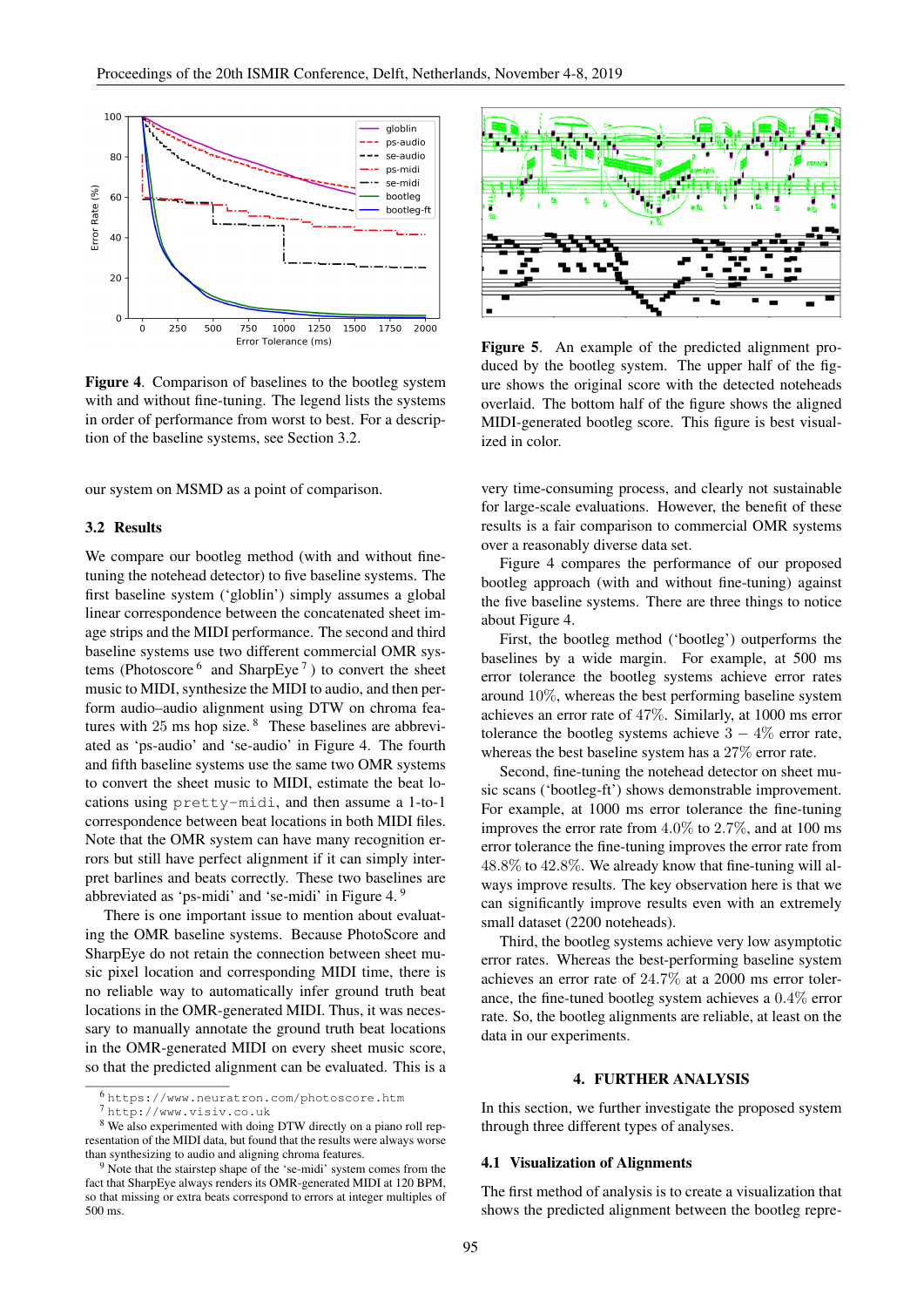

Figure 4. Comparison of baselines to the bootleg system with and without fine-tuning. The legend lists the systems in order of performance from worst to best. For a description of the baseline systems, see Section 3.2.

our system on MSMD as a point of comparison.

### 3.2 Results

We compare our bootleg method (with and without finetuning the notehead detector) to five baseline systems. The first baseline system ('globlin') simply assumes a global linear correspondence between the concatenated sheet image strips and the MIDI performance. The second and third baseline systems use two different commercial OMR systems (Photoscore  $6 \text{ and SharpEye}$ ) to convert the sheet music to MIDI, synthesize the MIDI to audio, and then perform audio–audio alignment using DTW on chroma features with  $25 \text{ ms}$  hop size. <sup>8</sup> These baselines are abbreviated as 'ps-audio' and 'se-audio' in Figure 4. The fourth and fifth baseline systems use the same two OMR systems to convert the sheet music to MIDI, estimate the beat locations using pretty-midi, and then assume a 1-to-1 correspondence between beat locations in both MIDI files. Note that the OMR system can have many recognition errors but still have perfect alignment if it can simply interpret barlines and beats correctly. These two baselines are abbreviated as 'ps-midi' and 'se-midi' in Figure 4. <sup>9</sup>

There is one important issue to mention about evaluating the OMR baseline systems. Because PhotoScore and SharpEye do not retain the connection between sheet music pixel location and corresponding MIDI time, there is no reliable way to automatically infer ground truth beat locations in the OMR-generated MIDI. Thus, it was necessary to manually annotate the ground truth beat locations in the OMR-generated MIDI on every sheet music score, so that the predicted alignment can be evaluated. This is a



Figure 5. An example of the predicted alignment produced by the bootleg system. The upper half of the figure shows the original score with the detected noteheads overlaid. The bottom half of the figure shows the aligned MIDI-generated bootleg score. This figure is best visualized in color.

very time-consuming process, and clearly not sustainable for large-scale evaluations. However, the benefit of these results is a fair comparison to commercial OMR systems over a reasonably diverse data set.

Figure 4 compares the performance of our proposed bootleg approach (with and without fine-tuning) against the five baseline systems. There are three things to notice about Figure 4.

First, the bootleg method ('bootleg') outperforms the baselines by a wide margin. For example, at 500 ms error tolerance the bootleg systems achieve error rates around 10%, whereas the best performing baseline system achieves an error rate of 47%. Similarly, at 1000 ms error tolerance the bootleg systems achieve  $3 - 4\%$  error rate, whereas the best baseline system has a 27% error rate.

Second, fine-tuning the notehead detector on sheet music scans ('bootleg-ft') shows demonstrable improvement. For example, at 1000 ms error tolerance the fine-tuning improves the error rate from 4.0% to 2.7%, and at 100 ms error tolerance the fine-tuning improves the error rate from 48.8% to 42.8%. We already know that fine-tuning will always improve results. The key observation here is that we can significantly improve results even with an extremely small dataset (2200 noteheads).

Third, the bootleg systems achieve very low asymptotic error rates. Whereas the best-performing baseline system achieves an error rate of 24.7% at a 2000 ms error tolerance, the fine-tuned bootleg system achieves a 0.4% error rate. So, the bootleg alignments are reliable, at least on the data in our experiments.

#### 4. FURTHER ANALYSIS

In this section, we further investigate the proposed system through three different types of analyses.

# 4.1 Visualization of Alignments

The first method of analysis is to create a visualization that shows the predicted alignment between the bootleg repre-

<sup>6</sup> https://www.neuratron.com/photoscore.htm

<sup>7</sup> http://www.visiv.co.uk

<sup>8</sup> We also experimented with doing DTW directly on a piano roll representation of the MIDI data, but found that the results were always worse than synthesizing to audio and aligning chroma features.

 $9$  Note that the stairstep shape of the 'se-midi' system comes from the fact that SharpEye always renders its OMR-generated MIDI at 120 BPM, so that missing or extra beats correspond to errors at integer multiples of 500 ms.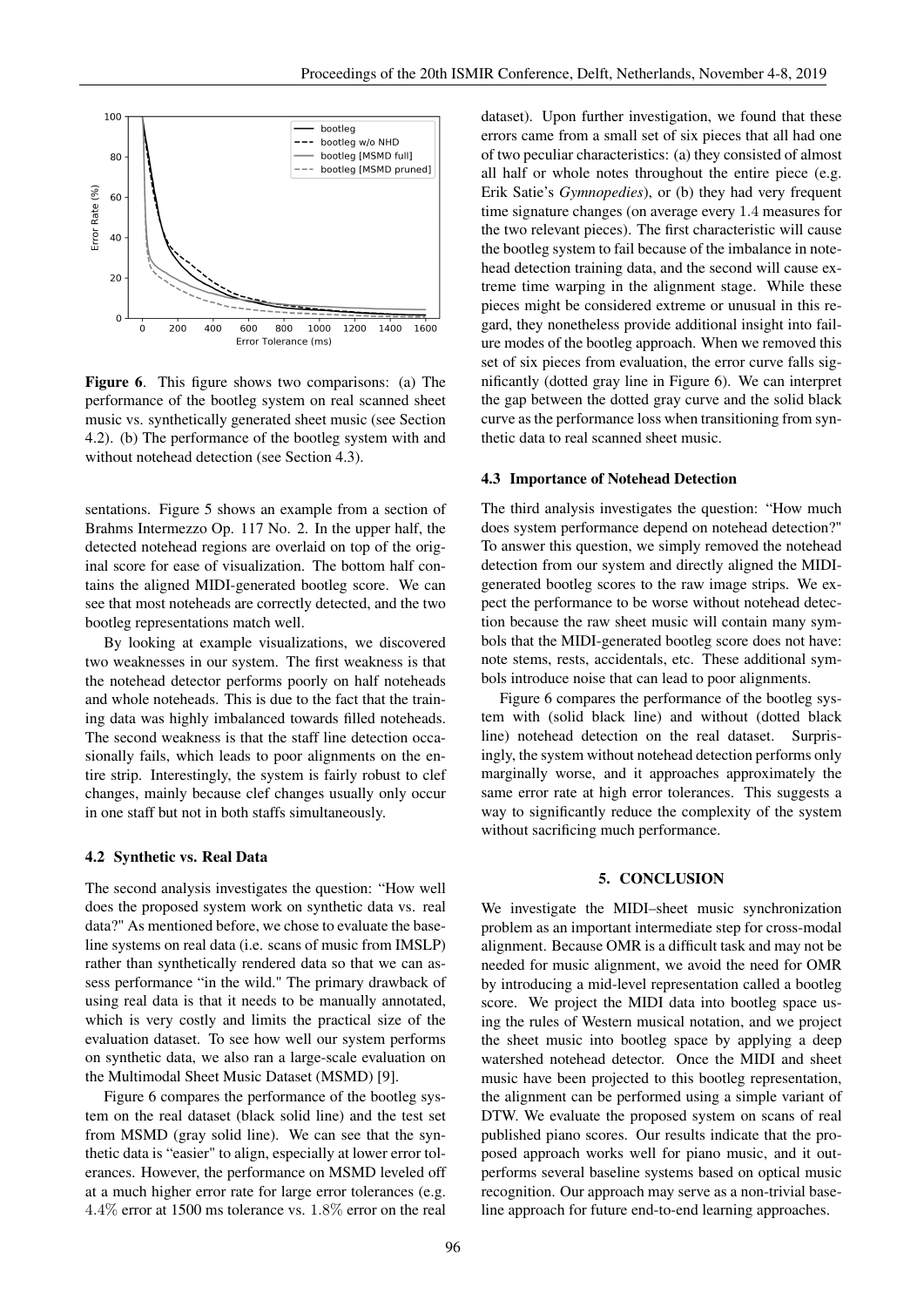

Figure 6. This figure shows two comparisons: (a) The performance of the bootleg system on real scanned sheet music vs. synthetically generated sheet music (see Section 4.2). (b) The performance of the bootleg system with and without notehead detection (see Section 4.3).

sentations. Figure 5 shows an example from a section of Brahms Intermezzo Op. 117 No. 2. In the upper half, the detected notehead regions are overlaid on top of the original score for ease of visualization. The bottom half contains the aligned MIDI-generated bootleg score. We can see that most noteheads are correctly detected, and the two bootleg representations match well.

By looking at example visualizations, we discovered two weaknesses in our system. The first weakness is that the notehead detector performs poorly on half noteheads and whole noteheads. This is due to the fact that the training data was highly imbalanced towards filled noteheads. The second weakness is that the staff line detection occasionally fails, which leads to poor alignments on the entire strip. Interestingly, the system is fairly robust to clef changes, mainly because clef changes usually only occur in one staff but not in both staffs simultaneously.

#### 4.2 Synthetic vs. Real Data

The second analysis investigates the question: "How well does the proposed system work on synthetic data vs. real data?" As mentioned before, we chose to evaluate the baseline systems on real data (i.e. scans of music from IMSLP) rather than synthetically rendered data so that we can assess performance "in the wild." The primary drawback of using real data is that it needs to be manually annotated, which is very costly and limits the practical size of the evaluation dataset. To see how well our system performs on synthetic data, we also ran a large-scale evaluation on the Multimodal Sheet Music Dataset (MSMD) [9].

Figure 6 compares the performance of the bootleg system on the real dataset (black solid line) and the test set from MSMD (gray solid line). We can see that the synthetic data is "easier" to align, especially at lower error tolerances. However, the performance on MSMD leveled off at a much higher error rate for large error tolerances (e.g. 4.4% error at 1500 ms tolerance vs. 1.8% error on the real

dataset). Upon further investigation, we found that these errors came from a small set of six pieces that all had one of two peculiar characteristics: (a) they consisted of almost all half or whole notes throughout the entire piece (e.g. Erik Satie's *Gymnopedies*), or (b) they had very frequent time signature changes (on average every 1.4 measures for the two relevant pieces). The first characteristic will cause the bootleg system to fail because of the imbalance in notehead detection training data, and the second will cause extreme time warping in the alignment stage. While these pieces might be considered extreme or unusual in this regard, they nonetheless provide additional insight into failure modes of the bootleg approach. When we removed this set of six pieces from evaluation, the error curve falls significantly (dotted gray line in Figure 6). We can interpret the gap between the dotted gray curve and the solid black curve as the performance loss when transitioning from synthetic data to real scanned sheet music.

#### 4.3 Importance of Notehead Detection

The third analysis investigates the question: "How much does system performance depend on notehead detection?" To answer this question, we simply removed the notehead detection from our system and directly aligned the MIDIgenerated bootleg scores to the raw image strips. We expect the performance to be worse without notehead detection because the raw sheet music will contain many symbols that the MIDI-generated bootleg score does not have: note stems, rests, accidentals, etc. These additional symbols introduce noise that can lead to poor alignments.

Figure 6 compares the performance of the bootleg system with (solid black line) and without (dotted black line) notehead detection on the real dataset. Surprisingly, the system without notehead detection performs only marginally worse, and it approaches approximately the same error rate at high error tolerances. This suggests a way to significantly reduce the complexity of the system without sacrificing much performance.

# 5. CONCLUSION

We investigate the MIDI–sheet music synchronization problem as an important intermediate step for cross-modal alignment. Because OMR is a difficult task and may not be needed for music alignment, we avoid the need for OMR by introducing a mid-level representation called a bootleg score. We project the MIDI data into bootleg space using the rules of Western musical notation, and we project the sheet music into bootleg space by applying a deep watershed notehead detector. Once the MIDI and sheet music have been projected to this bootleg representation, the alignment can be performed using a simple variant of DTW. We evaluate the proposed system on scans of real published piano scores. Our results indicate that the proposed approach works well for piano music, and it outperforms several baseline systems based on optical music recognition. Our approach may serve as a non-trivial baseline approach for future end-to-end learning approaches.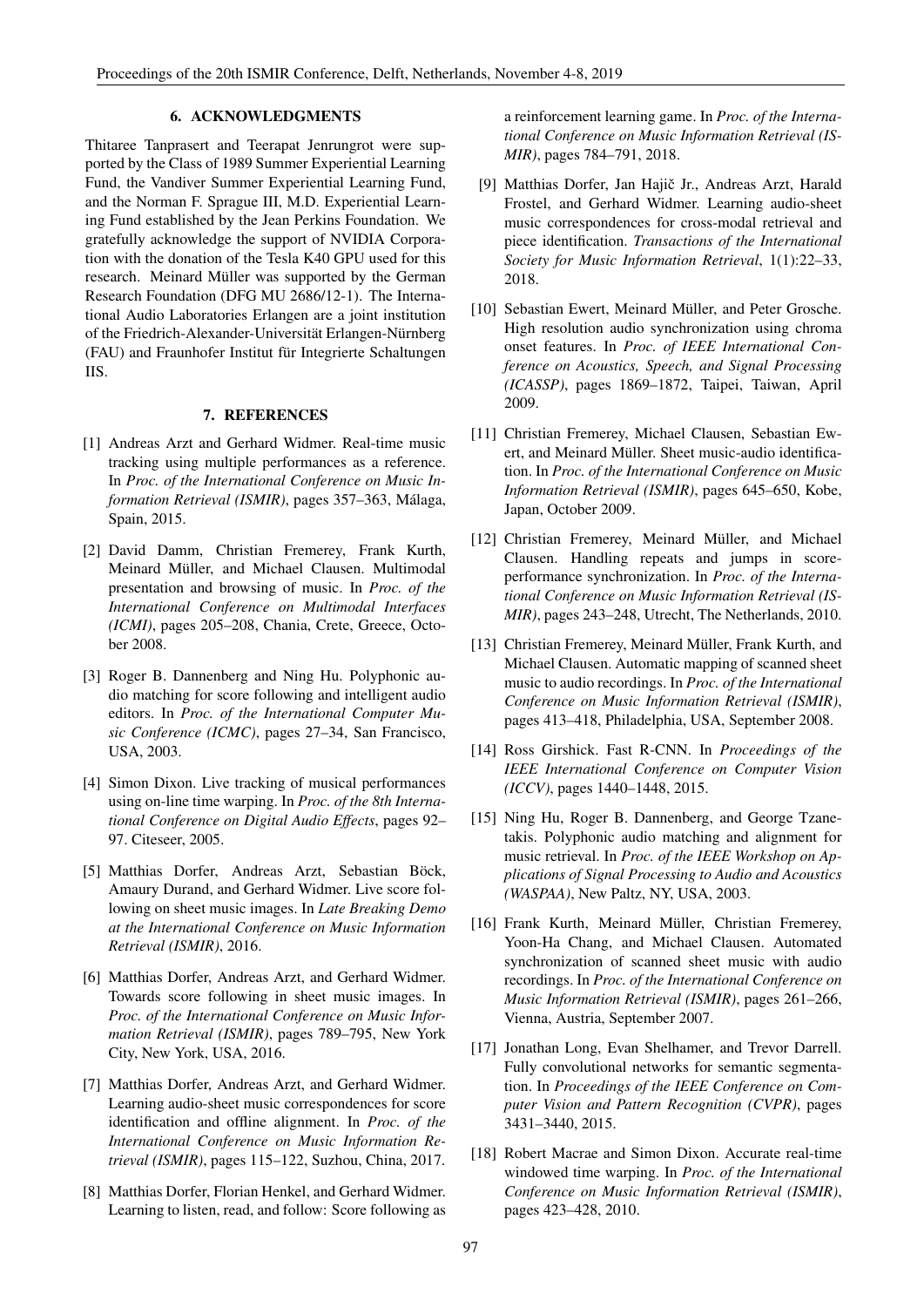# 6. ACKNOWLEDGMENTS

Thitaree Tanprasert and Teerapat Jenrungrot were supported by the Class of 1989 Summer Experiential Learning Fund, the Vandiver Summer Experiential Learning Fund, and the Norman F. Sprague III, M.D. Experiential Learning Fund established by the Jean Perkins Foundation. We gratefully acknowledge the support of NVIDIA Corporation with the donation of the Tesla K40 GPU used for this research. Meinard Müller was supported by the German Research Foundation (DFG MU 2686/12-1). The International Audio Laboratories Erlangen are a joint institution of the Friedrich-Alexander-Universität Erlangen-Nürnberg (FAU) and Fraunhofer Institut für Integrierte Schaltungen IIS.

# 7. REFERENCES

- [1] Andreas Arzt and Gerhard Widmer. Real-time music tracking using multiple performances as a reference. In *Proc. of the International Conference on Music Information Retrieval (ISMIR)*, pages 357–363, Málaga, Spain, 2015.
- [2] David Damm, Christian Fremerey, Frank Kurth, Meinard Müller, and Michael Clausen. Multimodal presentation and browsing of music. In *Proc. of the International Conference on Multimodal Interfaces (ICMI)*, pages 205–208, Chania, Crete, Greece, October 2008.
- [3] Roger B. Dannenberg and Ning Hu. Polyphonic audio matching for score following and intelligent audio editors. In *Proc. of the International Computer Music Conference (ICMC)*, pages 27–34, San Francisco, USA, 2003.
- [4] Simon Dixon. Live tracking of musical performances using on-line time warping. In *Proc. of the 8th International Conference on Digital Audio Effects*, pages 92– 97. Citeseer, 2005.
- [5] Matthias Dorfer, Andreas Arzt, Sebastian Böck, Amaury Durand, and Gerhard Widmer. Live score following on sheet music images. In *Late Breaking Demo at the International Conference on Music Information Retrieval (ISMIR)*, 2016.
- [6] Matthias Dorfer, Andreas Arzt, and Gerhard Widmer. Towards score following in sheet music images. In *Proc. of the International Conference on Music Information Retrieval (ISMIR)*, pages 789–795, New York City, New York, USA, 2016.
- [7] Matthias Dorfer, Andreas Arzt, and Gerhard Widmer. Learning audio-sheet music correspondences for score identification and offline alignment. In *Proc. of the International Conference on Music Information Retrieval (ISMIR)*, pages 115–122, Suzhou, China, 2017.
- [8] Matthias Dorfer, Florian Henkel, and Gerhard Widmer. Learning to listen, read, and follow: Score following as

a reinforcement learning game. In *Proc. of the International Conference on Music Information Retrieval (IS-MIR)*, pages 784–791, 2018.

- [9] Matthias Dorfer, Jan Hajič Jr., Andreas Arzt, Harald Frostel, and Gerhard Widmer. Learning audio-sheet music correspondences for cross-modal retrieval and piece identification. *Transactions of the International Society for Music Information Retrieval*, 1(1):22–33, 2018.
- [10] Sebastian Ewert, Meinard Müller, and Peter Grosche. High resolution audio synchronization using chroma onset features. In *Proc. of IEEE International Conference on Acoustics, Speech, and Signal Processing (ICASSP)*, pages 1869–1872, Taipei, Taiwan, April 2009.
- [11] Christian Fremerey, Michael Clausen, Sebastian Ewert, and Meinard Müller. Sheet music-audio identification. In *Proc. of the International Conference on Music Information Retrieval (ISMIR)*, pages 645–650, Kobe, Japan, October 2009.
- [12] Christian Fremerey, Meinard Müller, and Michael Clausen. Handling repeats and jumps in scoreperformance synchronization. In *Proc. of the International Conference on Music Information Retrieval (IS-MIR)*, pages 243–248, Utrecht, The Netherlands, 2010.
- [13] Christian Fremerey, Meinard Müller, Frank Kurth, and Michael Clausen. Automatic mapping of scanned sheet music to audio recordings. In *Proc. of the International Conference on Music Information Retrieval (ISMIR)*, pages 413–418, Philadelphia, USA, September 2008.
- [14] Ross Girshick. Fast R-CNN. In *Proceedings of the IEEE International Conference on Computer Vision (ICCV)*, pages 1440–1448, 2015.
- [15] Ning Hu, Roger B. Dannenberg, and George Tzanetakis. Polyphonic audio matching and alignment for music retrieval. In *Proc. of the IEEE Workshop on Applications of Signal Processing to Audio and Acoustics (WASPAA)*, New Paltz, NY, USA, 2003.
- [16] Frank Kurth, Meinard Müller, Christian Fremerey, Yoon-Ha Chang, and Michael Clausen. Automated synchronization of scanned sheet music with audio recordings. In *Proc. of the International Conference on Music Information Retrieval (ISMIR)*, pages 261–266, Vienna, Austria, September 2007.
- [17] Jonathan Long, Evan Shelhamer, and Trevor Darrell. Fully convolutional networks for semantic segmentation. In *Proceedings of the IEEE Conference on Computer Vision and Pattern Recognition (CVPR)*, pages 3431–3440, 2015.
- [18] Robert Macrae and Simon Dixon. Accurate real-time windowed time warping. In *Proc. of the International Conference on Music Information Retrieval (ISMIR)*, pages 423–428, 2010.